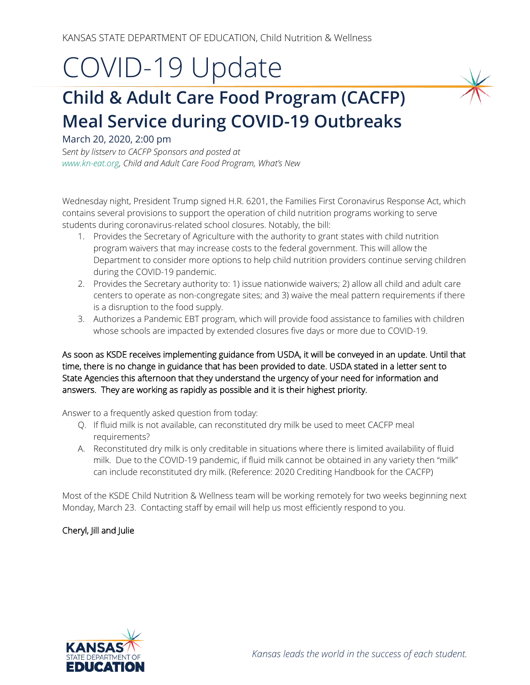## COVID-19 Update

## **Child & Adult Care Food Program (CACFP) Meal Service during COVID-19 Outbreaks**

## March 20, 2020, 2:00 pm

S*ent by listserv to CACFP Sponsors and posted at [www.kn-eat.org,](http://www.kn-eat.org/) Child and Adult Care Food Program, What's New* 

Wednesday night, President Trump signed H.R. 6201, the Families First Coronavirus Response Act, which contains several provisions to support the operation of child nutrition programs working to serve students during coronavirus-related school closures. Notably, the bill:

- 1. Provides the Secretary of Agriculture with the authority to grant states with child nutrition program waivers that may increase costs to the federal government. This will allow the Department to consider more options to help child nutrition providers continue serving children during the COVID-19 pandemic.
- 2. Provides the Secretary authority to: 1) issue nationwide waivers; 2) allow all child and adult care centers to operate as non-congregate sites; and 3) waive the meal pattern requirements if there is a disruption to the food supply.
- 3. Authorizes a Pandemic EBT program, which will provide food assistance to families with children whose schools are impacted by extended closures five days or more due to COVID-19.

As soon as KSDE receives implementing guidance from USDA, it will be conveyed in an update. Until that time, there is no change in guidance that has been provided to date. USDA stated in a letter sent to State Agencies this afternoon that they understand the urgency of your need for information and answers. They are working as rapidly as possible and it is their highest priority.

Answer to a frequently asked question from today:

- Q. If fluid milk is not available, can reconstituted dry milk be used to meet CACFP meal requirements?
- A. Reconstituted dry milk is only creditable in situations where there is limited availability of fluid milk. Due to the COVID-19 pandemic, if fluid milk cannot be obtained in any variety then "milk" can include reconstituted dry milk. (Reference: 2020 Crediting Handbook for the CACFP)

Most of the KSDE Child Nutrition & Wellness team will be working remotely for two weeks beginning next Monday, March 23. Contacting staff by email will help us most efficiently respond to you.

## Cheryl, Jill and Julie